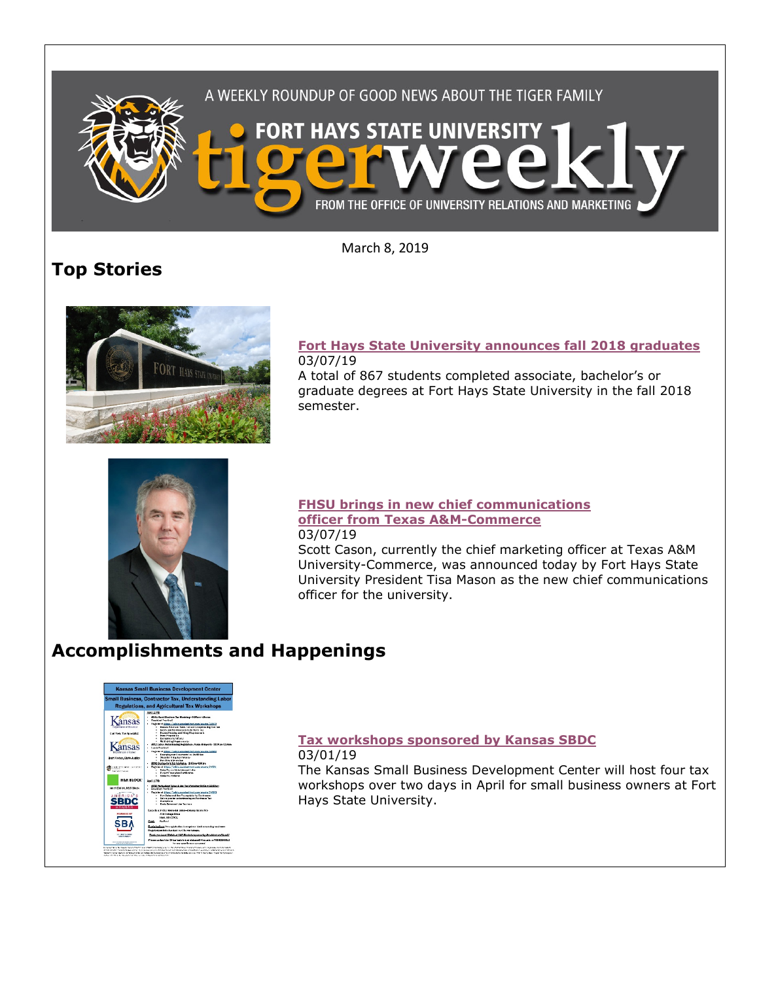

March 8, 2019

## **Top Stories**



## **[Fort Hays State University announces fall 2018 graduates](https://www.fhsu.edu/news/2019/03/fort-hays-state-university-announces-fall-2018-graduates)** 03/07/19

A total of 867 students completed associate, bachelor's or graduate degrees at Fort Hays State University in the fall 2018 semester.



#### **[FHSU brings in new chief communications](https://www.fhsu.edu/news/2019/03/fhsu-brings-in-new-chief-communications-officer-from-texas-am-commerce)  [officer from Texas A&M-Commerce](https://www.fhsu.edu/news/2019/03/fhsu-brings-in-new-chief-communications-officer-from-texas-am-commerce)** 03/07/19

Scott Cason, currently the chief marketing officer at Texas A&M University-Commerce, was announced today by Fort Hays State University President Tisa Mason as the new chief communications officer for the university.

# **Accomplishments and Happenings**



## **[Tax workshops sponsored by Kansas SBDC](https://www.fhsu.edu/news/2019/03/tax-workshops-sponsored-by-kansas-sbdc)** 03/01/19

The Kansas Small Business Development Center will host four tax workshops over two days in April for small business owners at Fort Hays State University.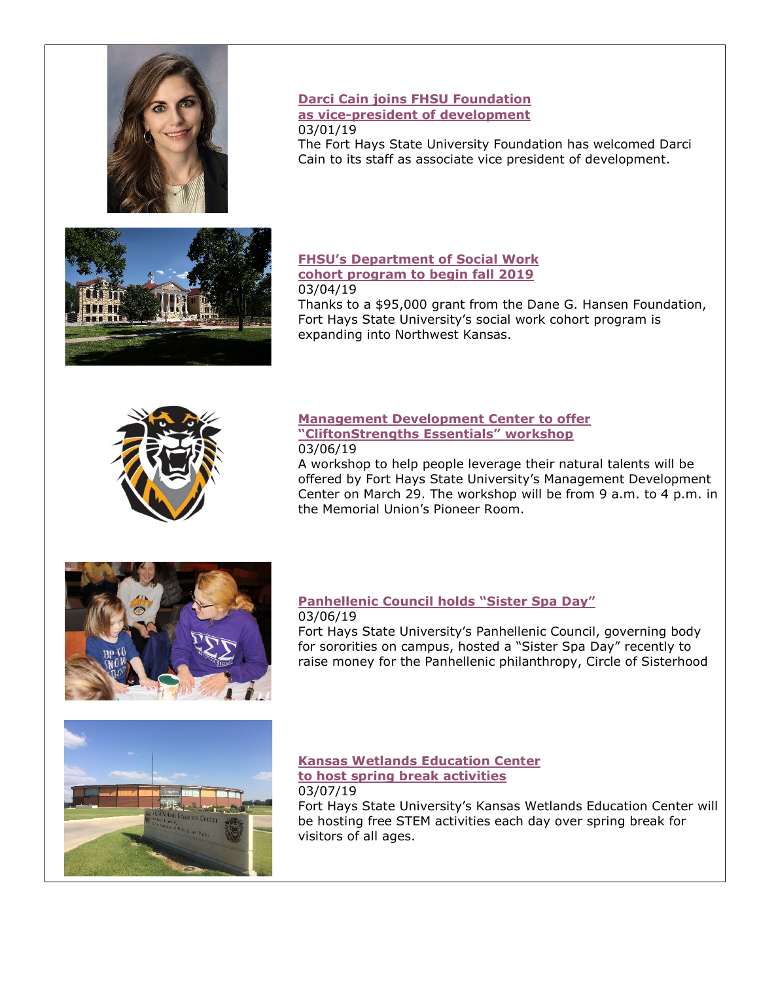

## **[Darci Cain joins FHSU Foundation](https://www.fhsu.edu/news/2019/02/darci-cain-joins-fhsu-foundation-as-vice-president-of-development)  [as vice-president of development](https://www.fhsu.edu/news/2019/02/darci-cain-joins-fhsu-foundation-as-vice-president-of-development)** 03/01/19

The Fort Hays State University Foundation has welcomed Darci Cain to its staff as associate vice president of development.



### **[FHSU's Department of Social Work](https://www.fhsu.edu/news/2019/03/fhsus-department-of-social-work-cohort-program-to-begin-fall-2019)  [cohort program to begin fall 2019](https://www.fhsu.edu/news/2019/03/fhsus-department-of-social-work-cohort-program-to-begin-fall-2019)** 03/04/19

Thanks to a \$95,000 grant from the Dane G. Hansen Foundation, Fort Hays State University's social work cohort program is expanding into Northwest Kansas.



## **[Management Development Center to offer](https://www.fhsu.edu/news/2019/03/management-development-center-to-offer-cliftonstrengths-essentials-workshop)  ["CliftonStrengths Essentials" workshop](https://www.fhsu.edu/news/2019/03/management-development-center-to-offer-cliftonstrengths-essentials-workshop)** 03/06/19

A workshop to help people leverage their natural talents will be offered by Fort Hays State University's Management Development Center on March 29. The workshop will be from 9 a.m. to 4 p.m. in the Memorial Union's Pioneer Room.



#### **[Panhellenic Council holds "Sister Spa Day"](https://www.fhsu.edu/news/2019/03/panhellenic-council-holds-sister-spa-day)** 03/06/19

Fort Hays State University's Panhellenic Council, governing body for sororities on campus, hosted a "Sister Spa Day" recently to raise money for the Panhellenic philanthropy, Circle of Sisterhood



## **[Kansas Wetlands Education Center](https://www.fhsu.edu/news/2019/03/kansas-wetlands-education-center-to-host-spring-break-activities)  [to host spring break activities](https://www.fhsu.edu/news/2019/03/kansas-wetlands-education-center-to-host-spring-break-activities)** 03/07/19

Fort Hays State University's Kansas Wetlands Education Center will be hosting free STEM activities each day over spring break for visitors of all ages.